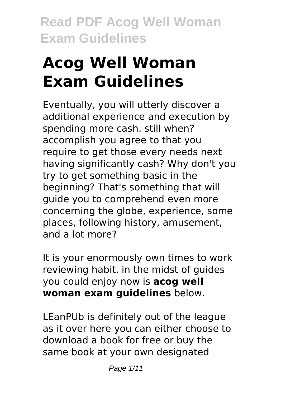# **Acog Well Woman Exam Guidelines**

Eventually, you will utterly discover a additional experience and execution by spending more cash. still when? accomplish you agree to that you require to get those every needs next having significantly cash? Why don't you try to get something basic in the beginning? That's something that will guide you to comprehend even more concerning the globe, experience, some places, following history, amusement, and a lot more?

It is your enormously own times to work reviewing habit. in the midst of guides you could enjoy now is **acog well woman exam guidelines** below.

LEanPUb is definitely out of the league as it over here you can either choose to download a book for free or buy the same book at your own designated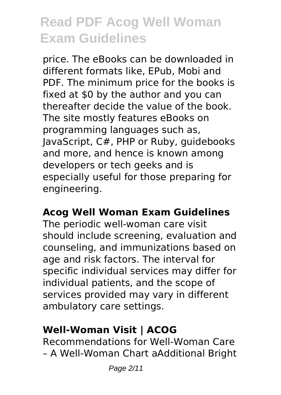price. The eBooks can be downloaded in different formats like, EPub, Mobi and PDF. The minimum price for the books is fixed at \$0 by the author and you can thereafter decide the value of the book. The site mostly features eBooks on programming languages such as, JavaScript, C#, PHP or Ruby, guidebooks and more, and hence is known among developers or tech geeks and is especially useful for those preparing for engineering.

### **Acog Well Woman Exam Guidelines**

The periodic well-woman care visit should include screening, evaluation and counseling, and immunizations based on age and risk factors. The interval for specific individual services may differ for individual patients, and the scope of services provided may vary in different ambulatory care settings.

#### **Well-Woman Visit | ACOG**

Recommendations for Well-Woman Care – A Well-Woman Chart aAdditional Bright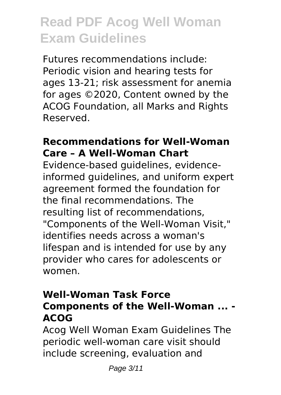Futures recommendations include: Periodic vision and hearing tests for ages 13-21; risk assessment for anemia for ages ©2020, Content owned by the ACOG Foundation, all Marks and Rights Reserved.

#### **Recommendations for Well-Woman Care – A Well-Woman Chart**

Evidence-based guidelines, evidenceinformed guidelines, and uniform expert agreement formed the foundation for the final recommendations. The resulting list of recommendations, "Components of the Well-Woman Visit," identifies needs across a woman's lifespan and is intended for use by any provider who cares for adolescents or women.

### **Well-Woman Task Force Components of the Well-Woman ... - ACOG**

Acog Well Woman Exam Guidelines The periodic well-woman care visit should include screening, evaluation and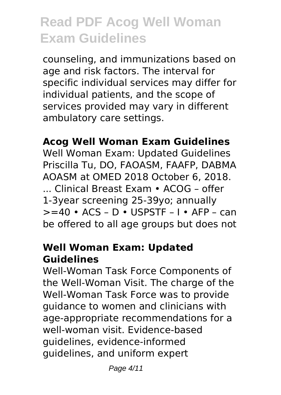counseling, and immunizations based on age and risk factors. The interval for specific individual services may differ for individual patients, and the scope of services provided may vary in different ambulatory care settings.

#### **Acog Well Woman Exam Guidelines**

Well Woman Exam: Updated Guidelines Priscilla Tu, DO, FAOASM, FAAFP, DABMA AOASM at OMED 2018 October 6, 2018. ... Clinical Breast Exam • ACOG – offer 1-3year screening 25-39yo; annually  $>=$  40 • ACS – D • USPSTF – I • AFP – can be offered to all age groups but does not

#### **Well Woman Exam: Updated Guidelines**

Well-Woman Task Force Components of the Well-Woman Visit. The charge of the Well-Woman Task Force was to provide guidance to women and clinicians with age-appropriate recommendations for a well-woman visit. Evidence-based guidelines, evidence-informed guidelines, and uniform expert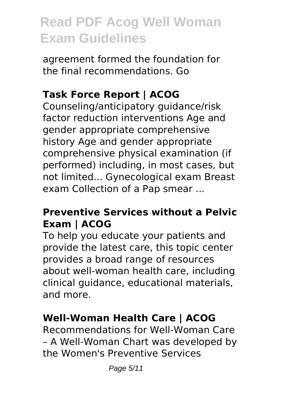agreement formed the foundation for the final recommendations. Go

### **Task Force Report | ACOG**

Counseling/anticipatory guidance/risk factor reduction interventions Age and gender appropriate comprehensive history Age and gender appropriate comprehensive physical examination (if performed) including, in most cases, but not limited... Gynecological exam Breast exam Collection of a Pap smear ...

### **Preventive Services without a Pelvic Exam | ACOG**

To help you educate your patients and provide the latest care, this topic center provides a broad range of resources about well-woman health care, including clinical guidance, educational materials, and more.

### **Well-Woman Health Care | ACOG**

Recommendations for Well-Woman Care – A Well-Woman Chart was developed by the Women's Preventive Services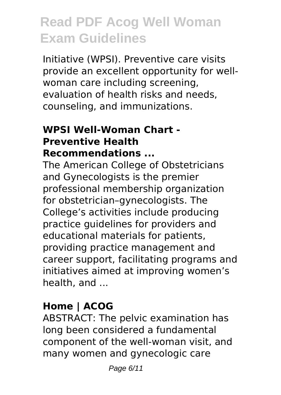Initiative (WPSI). Preventive care visits provide an excellent opportunity for wellwoman care including screening, evaluation of health risks and needs, counseling, and immunizations.

#### **WPSI Well-Woman Chart - Preventive Health Recommendations ...**

The American College of Obstetricians and Gynecologists is the premier professional membership organization for obstetrician–gynecologists. The College's activities include producing practice guidelines for providers and educational materials for patients, providing practice management and career support, facilitating programs and initiatives aimed at improving women's health, and ...

### **Home | ACOG**

ABSTRACT: The pelvic examination has long been considered a fundamental component of the well-woman visit, and many women and gynecologic care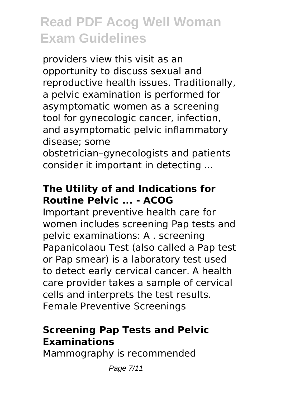providers view this visit as an opportunity to discuss sexual and reproductive health issues. Traditionally, a pelvic examination is performed for asymptomatic women as a screening tool for gynecologic cancer, infection, and asymptomatic pelvic inflammatory disease; some

obstetrician–gynecologists and patients consider it important in detecting ...

### **The Utility of and Indications for Routine Pelvic ... - ACOG**

Important preventive health care for women includes screening Pap tests and pelvic examinations: A . screening Papanicolaou Test (also called a Pap test or Pap smear) is a laboratory test used to detect early cervical cancer. A health care provider takes a sample of cervical cells and interprets the test results. Female Preventive Screenings

### **Screening Pap Tests and Pelvic Examinations**

Mammography is recommended

Page 7/11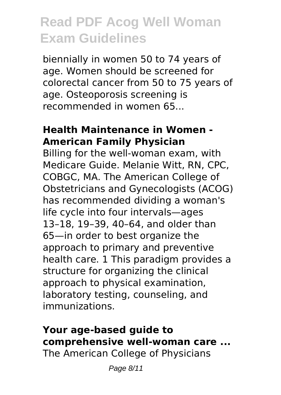biennially in women 50 to 74 years of age. Women should be screened for colorectal cancer from 50 to 75 years of age. Osteoporosis screening is recommended in women 65...

#### **Health Maintenance in Women - American Family Physician**

Billing for the well-woman exam, with Medicare Guide. Melanie Witt, RN, CPC, COBGC, MA. The American College of Obstetricians and Gynecologists (ACOG) has recommended dividing a woman's life cycle into four intervals—ages 13–18, 19–39, 40–64, and older than 65—in order to best organize the approach to primary and preventive health care. 1 This paradigm provides a structure for organizing the clinical approach to physical examination, laboratory testing, counseling, and immunizations.

### **Your age-based guide to comprehensive well-woman care ...**

The American College of Physicians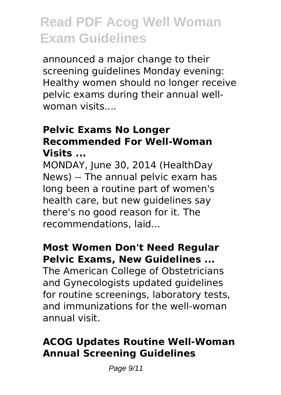announced a major change to their screening guidelines Monday evening: Healthy women should no longer receive pelvic exams during their annual wellwoman visits....

#### **Pelvic Exams No Longer Recommended For Well-Woman Visits ...**

MONDAY, June 30, 2014 (HealthDay News) -- The annual pelvic exam has long been a routine part of women's health care, but new guidelines say there's no good reason for it. The recommendations, laid...

#### **Most Women Don't Need Regular Pelvic Exams, New Guidelines ...**

The American College of Obstetricians and Gynecologists updated guidelines for routine screenings, laboratory tests, and immunizations for the well-woman annual visit.

### **ACOG Updates Routine Well-Woman Annual Screening Guidelines**

Page 9/11